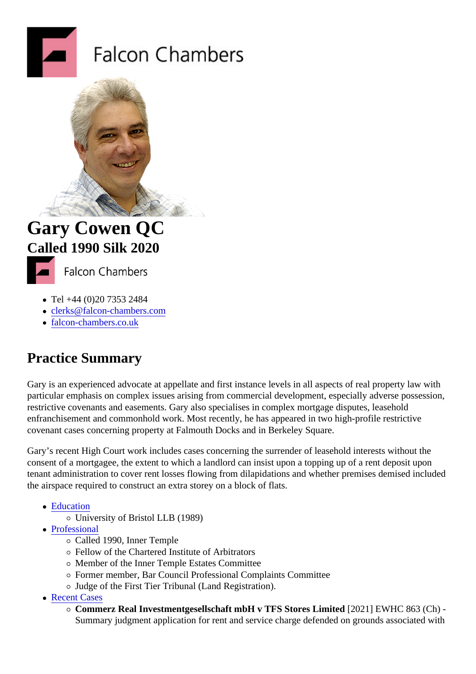## Gary Cowen QC Called 1990Silk 2020

- Tel +44 (0)20 7353 2484
- clerks@falcon-chambers.com
- falcon-chambers.co.uk

## Pra[ctice Summar](http://www.falcon-chambers.co.uk)[y](mailto:clerks@falcon-chambers.com)

Gary is an experienced advocate at appellate and first instance levels in all aspects of real property law with particular emphasis on complex issues arising from commercial development, especially adverse possession restrictive covenants and easements. Gary also specialises in complex mortgage disputes, leasehold enfranchisement and commonhold work. Most recently, he has appeared in two high-profile restrictive covenant cases concerning property at Falmouth Docks and in Berkeley Square.

Gary's recent High Court work includes cases concerning the surrender of leasehold interests without the consent of a mortgagee, the extent to which a landlord can insist upon a topping up of a rent deposit upon tenant administration to cover rent losses flowing from dilapidations and whether premises demised included the airspace required to construct an extra storey on a block of flats.

- Education
	- University of Bristol LLB (1989)
- Professional
	- Called 1990, Inner Temple
	- Fellow of the Chartered Institute of Arbitrators
	- Member of the Inner Temple Estates Committee
	- Former member, Bar Council Professional Complaints Committee
	- o Judge of the First Tier Tribunal (Land Registration).
- Recent Cases
	- $\overline{\circ}$  Commerz Real Investmentgesellschaft mbH v TFS Stores Limite (2021) EWHC 863 (Ch) -Summary judgment application for rent and service charge defended on grounds associated with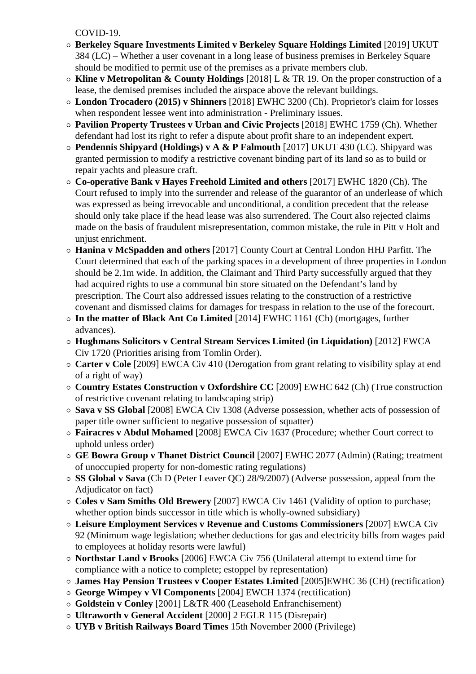COVID-19.

- **Berkeley Square Investments Limited v Berkeley Square Holdings Limited** [2019] UKUT 384 (LC) – Whether a user covenant in a long lease of business premises in Berkeley Square should be modified to permit use of the premises as a private members club.
- **Kline v Metropolitan & County Holdings** [2018] L & TR 19. On the proper construction of a lease, the demised premises included the airspace above the relevant buildings.
- **London Trocadero (2015) v Shinners** [2018] EWHC 3200 (Ch). Proprietor's claim for losses when respondent lessee went into administration - Preliminary issues.
- **Pavilion Property Trustees v Urban and Civic Projects** [2018] EWHC 1759 (Ch). Whether defendant had lost its right to refer a dispute about profit share to an independent expert.
- **Pendennis Shipyard (Holdings) v A & P Falmouth** [2017] UKUT 430 (LC). Shipyard was granted permission to modify a restrictive covenant binding part of its land so as to build or repair yachts and pleasure craft.
- **Co-operative Bank v Hayes Freehold Limited and others** [2017] EWHC 1820 (Ch). The Court refused to imply into the surrender and release of the guarantor of an underlease of which was expressed as being irrevocable and unconditional, a condition precedent that the release should only take place if the head lease was also surrendered. The Court also rejected claims made on the basis of fraudulent misrepresentation, common mistake, the rule in Pitt v Holt and unjust enrichment.
- **Hanina v McSpadden and others** [2017] County Court at Central London HHJ Parfitt. The Court determined that each of the parking spaces in a development of three properties in London should be 2.1m wide. In addition, the Claimant and Third Party successfully argued that they had acquired rights to use a communal bin store situated on the Defendant's land by prescription. The Court also addressed issues relating to the construction of a restrictive covenant and dismissed claims for damages for trespass in relation to the use of the forecourt.
- **In the matter of Black Ant Co Limited** [2014] EWHC 1161 (Ch) (mortgages, further advances).
- **Hughmans Solicitors v Central Stream Services Limited (in Liquidation)** [2012] EWCA Civ 1720 (Priorities arising from Tomlin Order).
- **Carter v Cole** [2009] EWCA Civ 410 (Derogation from grant relating to visibility splay at end of a right of way)
- **Country Estates Construction v Oxfordshire CC** [2009] EWHC 642 (Ch) (True construction of restrictive covenant relating to landscaping strip)
- **Sava v SS Global** [2008] EWCA Civ 1308 (Adverse possession, whether acts of possession of paper title owner sufficient to negative possession of squatter)
- **Fairacres v Abdul Mohamed** [2008] EWCA Civ 1637 (Procedure; whether Court correct to uphold unless order)
- **GE Bowra Group v Thanet District Council** [2007] EWHC 2077 (Admin) (Rating; treatment of unoccupied property for non-domestic rating regulations)
- **SS Global v Sava** (Ch D (Peter Leaver QC) 28/9/2007) (Adverse possession, appeal from the Adjudicator on fact)
- **Coles v Sam Smiths Old Brewery** [2007] EWCA Civ 1461 (Validity of option to purchase; whether option binds successor in title which is wholly-owned subsidiary)
- **Leisure Employment Services v Revenue and Customs Commissioners** [2007] EWCA Civ 92 (Minimum wage legislation; whether deductions for gas and electricity bills from wages paid to employees at holiday resorts were lawful)
- **Northstar Land v Brooks** [2006] EWCA Civ 756 (Unilateral attempt to extend time for compliance with a notice to complete; estoppel by representation)
- **James Hay Pension Trustees v Cooper Estates Limited** [2005]EWHC 36 (CH) (rectification)
- **George Wimpey v Vl Components** [2004] EWCH 1374 (rectification)
- **Goldstein v Conley** [2001] L&TR 400 (Leasehold Enfranchisement)
- **Ultraworth v General Accident** [2000] 2 EGLR 115 (Disrepair)
- **UYB v British Railways Board Times** 15th November 2000 (Privilege)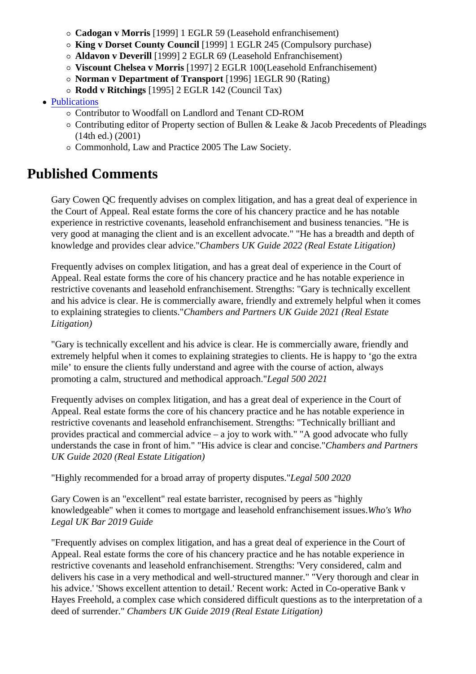- King v Dorset County Council [1999] 1 EGLR 245 (Compulsory purchase)
- Aldavon v Deverill [1999] 2 EGLR 69 (Leasehold Enfranchisement)
- o Viscount Chelsea v Morris [1997] 2 EGLR 100 (Leasehold Enfranchisement)
- Norman v Department of Transport [1996] 1EGLR 90 (Rating)
- $\circ$  Rodd v Ritchings [1995] 2 EGLR 142 (Council Tax)
- Publications
	- Contributor to Woodfall on Landlord and Tenant CD-ROM
	- Contributing editor of Property section of Bullen & Leake & Jacob Precedents of Pleadings (14th ed.) (2001)
	- $\circ$  Commonhold, Law and Practice 2005 The Law Society.

## Published Comments

Gary Cowen QC frequently advises on complex litigation, and has a great deal of experience in the Court of Appeal. Real estate forms the core of his chancery practice and he has notable experience in restrictive covenants, leasehold enfranchisement and business tenancies. "He is very good at managing the client and is an excellent advocate." "He has a breadth and depth of knowledge and provides clear advice matters UK Guide 2022 (Real Estate Litigation)

Frequently advises on complex litigation, and has a great deal of experience in the Court of Appeal. Real estate forms the core of his chancery practice and he has notable experience in restrictive covenants and leasehold enfranchisement. Strengths: "Gary is technically excellent and his advice is clear. He is commercially aware, friendly and extremely helpful when it comes to explaining strategies to client Chambers and Partners UK Guide 2021 (Real Estate Litigation)

"Gary is technically excellent and his advice is clear. He is commercially aware, friendly and extremely helpful when it comes to explaining strategies to clients. He is happy to 'go the extra mile' to ensure the clients fully understand and agree with the course of action, always promoting a calm, structured and methodical approbegal 500 2021

Frequently advises on complex litigation, and has a great deal of experience in the Court of Appeal. Real estate forms the core of his chancery practice and he has notable experience in restrictive covenants and leasehold enfranchisement. Strengths: "Technically brilliant and provides practical and commercial advice – a joy to work with." "A good advocate who fully understands the case in front of him." "His advice is clear and condisen bers and Partners UK Guide 2020 (Real Estate Litigation)

"Highly recommended for a broad array of property disputes." I 500 2020

Gary Cowen is an "excellent" real estate barrister, recognised by peers as "highly knowledgeable" when it comes to mortgage and leasehold enfranchisement Wissues Who Legal UK Bar 2019 Guide

"Frequently advises on complex litigation, and has a great deal of experience in the Court of Appeal. Real estate forms the core of his chancery practice and he has notable experience in restrictive covenants and leasehold enfranchisement. Strengths: 'Very considered, calm and delivers his case in a very methodical and well-structured manner." "Very thorough and clear in his advice.' 'Shows excellent attention to detail.' Recent work: Acted in Co-operative Bank v Hayes Freehold, a complex case which considered difficult questions as to the interpretation of a deed of surrenderChambers UK Guide 2019 (Real Estate Litigation)